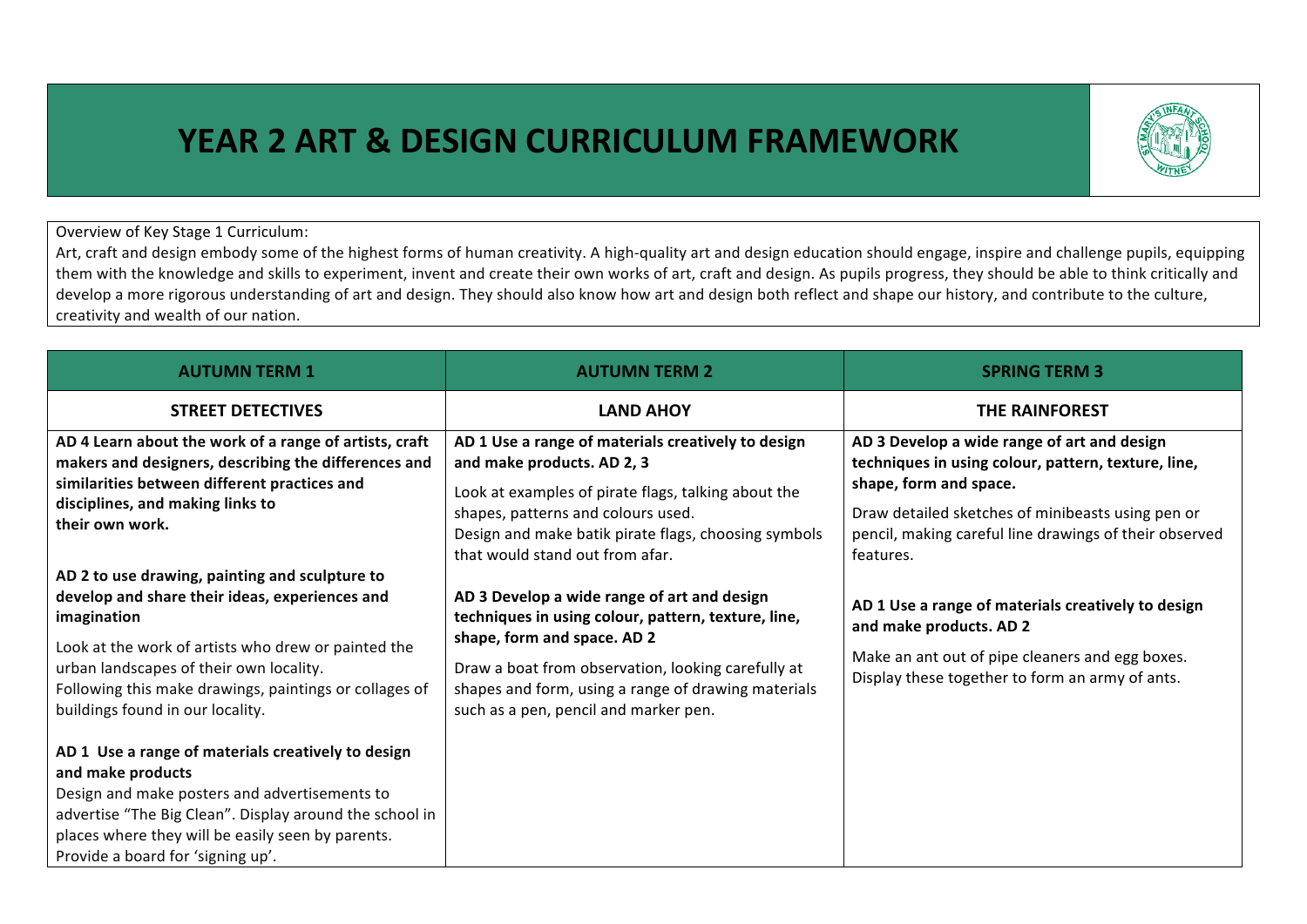## **YEAR 2 ART & DESIGN CURRICULUM FRAMEWORK**



## Overview of Key Stage 1 Curriculum:

Art, craft and design embody some of the highest forms of human creativity. A high-quality art and design education should engage, inspire and challenge pupils, equipping them with the knowledge and skills to experiment, invent and create their own works of art, craft and design. As pupils progress, they should be able to think critically and develop a more rigorous understanding of art and design. They should also know how art and design both reflect and shape our history, and contribute to the culture, creativity and wealth of our nation.

| <b>AUTUMN TERM 1</b>                                                                                                                                                                                                                                                                                            | <b>AUTUMN TERM 2</b>                                                                                                                                                                                                                                                                    | <b>SPRING TERM 3</b>                                                                                                                                                                                                                                     |
|-----------------------------------------------------------------------------------------------------------------------------------------------------------------------------------------------------------------------------------------------------------------------------------------------------------------|-----------------------------------------------------------------------------------------------------------------------------------------------------------------------------------------------------------------------------------------------------------------------------------------|----------------------------------------------------------------------------------------------------------------------------------------------------------------------------------------------------------------------------------------------------------|
| <b>STREET DETECTIVES</b>                                                                                                                                                                                                                                                                                        | <b>LAND AHOY</b>                                                                                                                                                                                                                                                                        | <b>THE RAINFOREST</b>                                                                                                                                                                                                                                    |
| AD 4 Learn about the work of a range of artists, craft<br>makers and designers, describing the differences and<br>similarities between different practices and<br>disciplines, and making links to<br>their own work.                                                                                           | AD 1 Use a range of materials creatively to design<br>and make products. AD 2, 3<br>Look at examples of pirate flags, talking about the<br>shapes, patterns and colours used.<br>Design and make batik pirate flags, choosing symbols<br>that would stand out from afar.                | AD 3 Develop a wide range of art and design<br>techniques in using colour, pattern, texture, line,<br>shape, form and space.<br>Draw detailed sketches of minibeasts using pen or<br>pencil, making careful line drawings of their observed<br>features. |
| AD 2 to use drawing, painting and sculpture to<br>develop and share their ideas, experiences and<br>imagination<br>Look at the work of artists who drew or painted the<br>urban landscapes of their own locality.<br>Following this make drawings, paintings or collages of<br>buildings found in our locality. | AD 3 Develop a wide range of art and design<br>techniques in using colour, pattern, texture, line,<br>shape, form and space. AD 2<br>Draw a boat from observation, looking carefully at<br>shapes and form, using a range of drawing materials<br>such as a pen, pencil and marker pen. | AD 1 Use a range of materials creatively to design<br>and make products. AD 2<br>Make an ant out of pipe cleaners and egg boxes.<br>Display these together to form an army of ants.                                                                      |
| AD 1 Use a range of materials creatively to design<br>and make products<br>Design and make posters and advertisements to<br>advertise "The Big Clean". Display around the school in<br>places where they will be easily seen by parents.<br>Provide a board for 'signing up'.                                   |                                                                                                                                                                                                                                                                                         |                                                                                                                                                                                                                                                          |